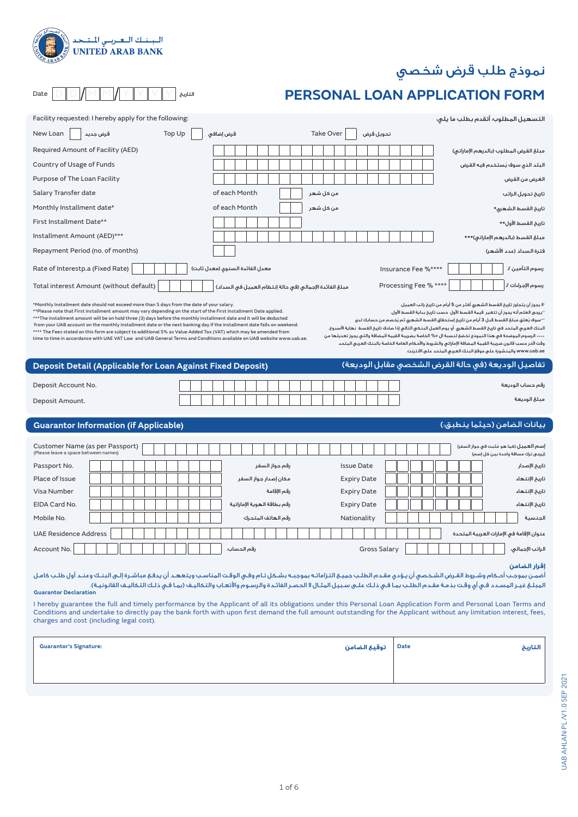# نموذج طلب قرض شخصي

# **PERSONAL LOAN APPLICATION FORM**

| Facility requested: I hereby apply for the following:                                                                                                                                                                                                                                                                                                                                                                                                                                                                                                                                                                                                                                                              |                                                         |                        | التسهيل المطلوب؛ أتقدم بطلب ما يلي؛                                                                                                                                                                                                                                                                                                                                                                                                                                                                                                                                                                                                                                                                |
|--------------------------------------------------------------------------------------------------------------------------------------------------------------------------------------------------------------------------------------------------------------------------------------------------------------------------------------------------------------------------------------------------------------------------------------------------------------------------------------------------------------------------------------------------------------------------------------------------------------------------------------------------------------------------------------------------------------------|---------------------------------------------------------|------------------------|----------------------------------------------------------------------------------------------------------------------------------------------------------------------------------------------------------------------------------------------------------------------------------------------------------------------------------------------------------------------------------------------------------------------------------------------------------------------------------------------------------------------------------------------------------------------------------------------------------------------------------------------------------------------------------------------------|
| Top Up<br>New Loan<br>قرض جديد                                                                                                                                                                                                                                                                                                                                                                                                                                                                                                                                                                                                                                                                                     | قرض إضافي                                               | Take Over<br>تحويل قرض |                                                                                                                                                                                                                                                                                                                                                                                                                                                                                                                                                                                                                                                                                                    |
| Required Amount of Facility (AED)                                                                                                                                                                                                                                                                                                                                                                                                                                                                                                                                                                                                                                                                                  |                                                         |                        | مبلغ القرض المطلوب (بالدرهم الإماراتي)                                                                                                                                                                                                                                                                                                                                                                                                                                                                                                                                                                                                                                                             |
| Country of Usage of Funds                                                                                                                                                                                                                                                                                                                                                                                                                                                                                                                                                                                                                                                                                          |                                                         |                        | البلد الذي سوف يُستخدم فيه القرض                                                                                                                                                                                                                                                                                                                                                                                                                                                                                                                                                                                                                                                                   |
| Purpose of The Loan Facility                                                                                                                                                                                                                                                                                                                                                                                                                                                                                                                                                                                                                                                                                       |                                                         |                        | الغرض من القرض                                                                                                                                                                                                                                                                                                                                                                                                                                                                                                                                                                                                                                                                                     |
| Salary Transfer date                                                                                                                                                                                                                                                                                                                                                                                                                                                                                                                                                                                                                                                                                               | of each Month                                           | من كل شهر              | تاريخ تحويل الراتب                                                                                                                                                                                                                                                                                                                                                                                                                                                                                                                                                                                                                                                                                 |
| Monthly Installment date*                                                                                                                                                                                                                                                                                                                                                                                                                                                                                                                                                                                                                                                                                          | of each Month                                           | من كل شهر              | تاريخ القسط الشهرى*                                                                                                                                                                                                                                                                                                                                                                                                                                                                                                                                                                                                                                                                                |
| First Installment Date**                                                                                                                                                                                                                                                                                                                                                                                                                                                                                                                                                                                                                                                                                           |                                                         |                        | تاريخ القسط الأول**                                                                                                                                                                                                                                                                                                                                                                                                                                                                                                                                                                                                                                                                                |
| Installment Amount (AED)***                                                                                                                                                                                                                                                                                                                                                                                                                                                                                                                                                                                                                                                                                        |                                                         |                        | مبلغ القسط (بالدرهم الإماراتي)***                                                                                                                                                                                                                                                                                                                                                                                                                                                                                                                                                                                                                                                                  |
| Repayment Period (no. of months)                                                                                                                                                                                                                                                                                                                                                                                                                                                                                                                                                                                                                                                                                   |                                                         |                        | فترة السداد (عدد الأشهر)                                                                                                                                                                                                                                                                                                                                                                                                                                                                                                                                                                                                                                                                           |
| Rate of Interestp.a (Fixed Rate)                                                                                                                                                                                                                                                                                                                                                                                                                                                                                                                                                                                                                                                                                   | معدل الفائدة السنوى (معدل ثابت)                         |                        | رسوم التأمين ٪<br>Insurance Fee %****                                                                                                                                                                                                                                                                                                                                                                                                                                                                                                                                                                                                                                                              |
| Total interest Amount (without default)                                                                                                                                                                                                                                                                                                                                                                                                                                                                                                                                                                                                                                                                            | مبلغ الفائدة الإجمالي (في حالة إنتظام العميل في السداد) |                        | رسوم الإجراءات ٪  <br>Processing Fee % ****                                                                                                                                                                                                                                                                                                                                                                                                                                                                                                                                                                                                                                                        |
| *Monthly Installment date should not exceed more than 5 days from the date of your salary.<br>**Please note that First installment amount may vary depending on the start of the First Installment Date applied.<br>***The installment amount will be on hold three (3) days before the monthly installment date and it will be deducted<br>from your UAB account on the monthly installment date or the next banking day if the installment date falls on weekend.<br>**** The Fees stated on this form are subject to additional 5% as Value Added Tax (VAT) which may be amended from<br>time to time in accordance with UAE VAT Law  and UAB General Terms and Conditions available on UAB website www.uab.ae. |                                                         |                        | 'لا يجوز أن يتجاوز تاريخ القسط الشهرى أكثـر من 5 أيام من تاريخ راتب العميل.<br>·يرجى العلم أنه يجوز أن تتغير  قيمة القسط الأول  حسب تاريخ بداية القسط الأول.<br>··سوف يُعلق مبلغ القسط قبل 3 أيام من تاريخ إستحقاق القسط الشهرى ثم يُخصم من حسابك لدى<br>البنك العربى المتحد فى تاريخ القسط الشهرى أو يوم العمل البنكى التالى إذا صادف تاريخ القسط نهاية الأسبوع.<br>···· الرسوم الموضحة في هذا النموذج تخضعَ لنسبة ال ٥% الخاصة بضريبة القيمة المضافة والتى يجوز تعديلها من<br>وقت لآخر حسب قانون ضريبة القيمة المضافة الإماراتى والشروط والأحكام العامة الخاصة بالبنك العربى المتحد<br>www.uab.ae والمنشورة على موقع البنك العربي المتحد على الانترنت.                                           |
| Deposit Detail (Applicable for Loan Against Fixed Deposit)                                                                                                                                                                                                                                                                                                                                                                                                                                                                                                                                                                                                                                                         |                                                         |                        | تفاصيل الوديعة (في حالة القرض الشخصى مقابل الوديعة)                                                                                                                                                                                                                                                                                                                                                                                                                                                                                                                                                                                                                                                |
| Deposit Account No.                                                                                                                                                                                                                                                                                                                                                                                                                                                                                                                                                                                                                                                                                                |                                                         |                        | رقم حساب الوديعة                                                                                                                                                                                                                                                                                                                                                                                                                                                                                                                                                                                                                                                                                   |
|                                                                                                                                                                                                                                                                                                                                                                                                                                                                                                                                                                                                                                                                                                                    |                                                         |                        |                                                                                                                                                                                                                                                                                                                                                                                                                                                                                                                                                                                                                                                                                                    |
| Deposit Amount.                                                                                                                                                                                                                                                                                                                                                                                                                                                                                                                                                                                                                                                                                                    |                                                         |                        | مبلغ الوديعة                                                                                                                                                                                                                                                                                                                                                                                                                                                                                                                                                                                                                                                                                       |
| <b>Guarantor Information (if Applicable)</b>                                                                                                                                                                                                                                                                                                                                                                                                                                                                                                                                                                                                                                                                       |                                                         |                        | بيانات الضامن (حيثما ينطبق؛)                                                                                                                                                                                                                                                                                                                                                                                                                                                                                                                                                                                                                                                                       |
| Customer Name (as per Passport)<br>(Please leave a space between names)                                                                                                                                                                                                                                                                                                                                                                                                                                                                                                                                                                                                                                            |                                                         |                        | إسم العميل (كما هو مُثبت في جواز السفر)                                                                                                                                                                                                                                                                                                                                                                                                                                                                                                                                                                                                                                                            |
| Passport No.                                                                                                                                                                                                                                                                                                                                                                                                                                                                                                                                                                                                                                                                                                       | رقم جواز السفر                                          | <b>Issue Date</b>      | (يُرجى ترك مسافة واحدة بين كل إسم)<br>تاريخ الإصدار                                                                                                                                                                                                                                                                                                                                                                                                                                                                                                                                                                                                                                                |
| Place of Issue                                                                                                                                                                                                                                                                                                                                                                                                                                                                                                                                                                                                                                                                                                     | مكان إصدار جواز السفر                                   | <b>Expiry Date</b>     | تاريخ الإنتهاء                                                                                                                                                                                                                                                                                                                                                                                                                                                                                                                                                                                                                                                                                     |
| Visa Number                                                                                                                                                                                                                                                                                                                                                                                                                                                                                                                                                                                                                                                                                                        | رقم الإقامة                                             | <b>Expiry Date</b>     | تاريخ الإنتهاء                                                                                                                                                                                                                                                                                                                                                                                                                                                                                                                                                                                                                                                                                     |
| EIDA Card No.                                                                                                                                                                                                                                                                                                                                                                                                                                                                                                                                                                                                                                                                                                      | رقم بطاقة الهوية الإماراتية                             | <b>Expiry Date</b>     | تاريخ الإنتهاء                                                                                                                                                                                                                                                                                                                                                                                                                                                                                                                                                                                                                                                                                     |
| Mobile No.                                                                                                                                                                                                                                                                                                                                                                                                                                                                                                                                                                                                                                                                                                         | رقم الهاتف المتحرك                                      | Nationality            | الجنسية                                                                                                                                                                                                                                                                                                                                                                                                                                                                                                                                                                                                                                                                                            |
| <b>UAE Residence Address</b>                                                                                                                                                                                                                                                                                                                                                                                                                                                                                                                                                                                                                                                                                       |                                                         |                        | عنوان الإقامة فى الإمارات العربية المتحدة                                                                                                                                                                                                                                                                                                                                                                                                                                                                                                                                                                                                                                                          |
| Account No.                                                                                                                                                                                                                                                                                                                                                                                                                                                                                                                                                                                                                                                                                                        | رقم الحساب:                                             | <b>Gross Salary</b>    | الراتب الإجمالي:                                                                                                                                                                                                                                                                                                                                                                                                                                                                                                                                                                                                                                                                                   |
| <b>Guarantor Declaration</b><br>charges and cost (including legal cost).                                                                                                                                                                                                                                                                                                                                                                                                                                                                                                                                                                                                                                           |                                                         |                        | إقرار الضامن<br>أضمن بموجب أحكام وشروط القرض الشخصي أن يؤدي مقدم الطلب جميع التزاماته بموجبه بشكل تام وفي الوقت المناسب ويتعهد أن يدفع مباشرة إلى البنك وعند أول طلب كامل<br>المبلغ غيـر المسـدد فـى أى وقـت بذمـة مقـدم الطلـب بمـا فـى ذلـك علـى سـبيل المثـال لا الحصـر الفائـدة والرسـوم والأتعـاب والتكاليـف (بمـا فـى ذلـك التكاليـف القانونيـة).<br>I hereby guarantee the full and timely performance by the Applicant of all its obligations under this Personal Loan Application Form and Personal Loan Terms and<br>Conditions and undertake to directly pay the bank forth with upon first demand the full amount outstanding for the Applicant without any limitation interest, fees, |

Date  $\boxed{\bigcirc}$   $\boxed{\bigcirc}$   $\boxed{\bigcirc}$   $\boxed{\bigcirc}$   $\boxed{\bigcirc}$   $\boxed{\bigcirc}$   $\boxed{\bigcirc}$   $\boxed{\bigcirc}$   $\boxed{\bigcirc}$   $\boxed{\bigcirc}$   $\boxed{\bigcirc}$   $\boxed{\bigcirc}$   $\boxed{\bigcirc}$   $\boxed{\bigcirc}$   $\boxed{\bigcirc}$   $\boxed{\bigcirc}$   $\boxed{\bigcirc}$   $\boxed{\bigcirc}$   $\boxed{\bigcirc}$   $\boxed{\bigcirc}$   $\boxed{\bigcirc}$   $\boxed{\bigcirc}$   $\boxed{\bigcirc}$   $\boxed{\bigcirc}$ 

الــبـنــك الــعــربــي الــتــحـد<br>UNITED ARAB BANK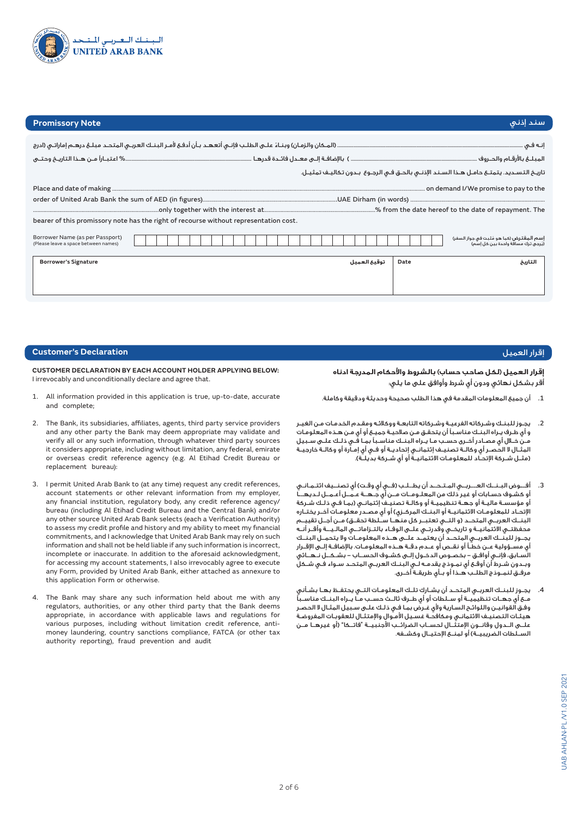

# **Promissory Note**

| <b>Promissory Note</b>                                                                |              | سند إذني                                                                                     |
|---------------------------------------------------------------------------------------|--------------|----------------------------------------------------------------------------------------------|
|                                                                                       |              |                                                                                              |
|                                                                                       |              |                                                                                              |
|                                                                                       |              | تاريخ التسـديد. يتمتـع حامـل هـذا السـند الإذنــى بالحـق فـى الرجـوع  بـدون تـكاليـف تمثيـل. |
|                                                                                       |              |                                                                                              |
|                                                                                       |              |                                                                                              |
|                                                                                       |              |                                                                                              |
| bearer of this promissory note has the right of recourse without representation cost. |              |                                                                                              |
| Borrower Name (as per Passport)<br>(Please leave a space between names)               |              | إسم المقتـرض (كما هو مُثبت في جواز السفر)<br>(يُرجى ترك مسافة واحدة بين كل إسم)              |
| <b>Borrower's Signature</b>                                                           | توقيع العميل | Date<br>التاريخ                                                                              |
|                                                                                       |              |                                                                                              |

# إقرار العميل

**إقرار العميل )لكل صاحب حساب( بالشروط واألحكام المدرجة ادناه** .<br>اقر بشكل نهائى ودون أى شرط وأوافق على ما يلى:

- .1 أن جميع المعلومات المقدمة في هذا الطلب صحيحة وحديثة ودقيقة وكاملة.
- .2 يجـوز للبنـك وشـركاته الفرعيـة وشـركاته التابعـة ووكالئـه ومقـدم الخدمـات مـن الغيـر و أي طـرف يـراه البنـك مناسـبًا أن يتحقـق مـن صالحيـة جميـع أو أي مـن هـذه المعلومـات مــن خــال أي مصــادر أخــرى حســب مــا يــراه البنــك مناســبًا بمــا فــي ذلــك علــى ســبيل المثــال ال الحصــر أي وكالــة تصنيــف إئتمانــي إتحاديــة أو فــي أي إمــارة أو وكالــة خارجيــة .<br>(مثـل شـركة الإتحـاد للمعلومـات الائتمانيـةٌ أو أي شـركة بديلـة).
- 3. أفــوض البـنــك العـــربــي المـتـحــد أن يطــلـب (فــي أي وقـت) أي تصنــيف ائتـمـانـي أو كشـوف حسـابات أو غير ذلك من المعلـومــات مــن أي جـهــة عـمــل أعـمــل لـديهـــا أو مؤسسـة ماليـة أو جهـة تنظيميـة أو وكالـة تصنيـف إئتمانـي )بمـا فـي ذلـك شـركة الإتحــاد للمعلومــات الائتمانيــة أو البنــك المركــزي) أو أي مصــدر معلومــات آخــر يختــاره البنــك العربــى المتحــد (و التــى تعتبــر كل منهــا ســَلطة تحقــق) مــن أجــل تقييــم محفظتــي االئتمانيــة و تاريخــي وقدرتــي علــى الوفــاء بالتـزاماتـــي المالـيـــة وأقــر أنــه يجــوز للبنــك العربــي المتحــد أن يعتمــد علــى هــذه المعلومــات وال يتحمــل البنــك أي مســؤولية عــن خطــأ أو نقــص أو عــدم دقــة هــذه المعلومــات. باإلضافــة إلــى اإلقــرار السـابق، فإنـي أوافـق - بخصـوص الدخـول إلـى كشـوف الحســاب - بشـكــل نـهــائي وبـدون شـرط أن أوقـع أي نمـوذج يقدمـه لـي البنـك العربـي المتحـد سـواء فـي شـكل مرفــق لنمــوذج الطلــب هــذا أو بــأي طريقــة أخــرى.
- .4 يجــوز للبنــك العربــي المتحــد أن يشــارك تلــك المعلومــات التــي يحتفــظ بهــا بشــأني مــع أي جهــات تنظيميــة أو ســلطات أو أي طــرف ثالــث حســب مــا يــراه البنــك مناســبًا وفـق القوانيـن واللوائـح السـارية وألي غـرض بمـا فـي ذلـك علـى سـبيل المثـال ال الحصـر هيئـات التصنيـف االئتمانـي ومكافحـة غسـيل األمـوال واإلمتثـال للعقوبـات المفروضـة علـــى الــدول وقانــون الإمتثــال لحســاب الضرائــب الاجنبيــة "فاتــكا" (او غيرهــا مــن الســلطات الضريبيــة) أو لمنــع الإحتيــال وكشــفه.

# **Customer's Declaration**

**CUSTOMER DECLARATION BY EACH ACCOUNT HOLDER APPLYING BELOW:** I irrevocably and unconditionally declare and agree that.

- 1. All information provided in this application is true, up-to-date, accurate and complete;
- 2. The Bank, its subsidiaries, affiliates, agents, third party service providers and any other party the Bank may deem appropriate may validate and verify all or any such information, through whatever third party sources it considers appropriate, including without limitation, any federal, emirate or overseas credit reference agency (e.g. Al Etihad Credit Bureau or replacement bureau):
- 3. I permit United Arab Bank to (at any time) request any credit references, account statements or other relevant information from my employer, any financial institution, regulatory body, any credit reference agency/ bureau (including Al Etihad Credit Bureau and the Central Bank) and/or any other source United Arab Bank selects (each a Verification Authority) to assess my credit profile and history and my ability to meet my financial commitments, and I acknowledge that United Arab Bank may rely on such information and shall not be held liable if any such information is incorrect, incomplete or inaccurate. In addition to the aforesaid acknowledgment, for accessing my account statements, I also irrevocably agree to execute any Form, provided by United Arab Bank, either attached as annexure to this application Form or otherwise.
- 4. The Bank may share any such information held about me with any regulators, authorities, or any other third party that the Bank deems appropriate, in accordance with applicable laws and regulations for various purposes, including without limitation credit reference, antimoney laundering, country sanctions compliance, FATCA (or other tax authority reporting), fraud prevention and audit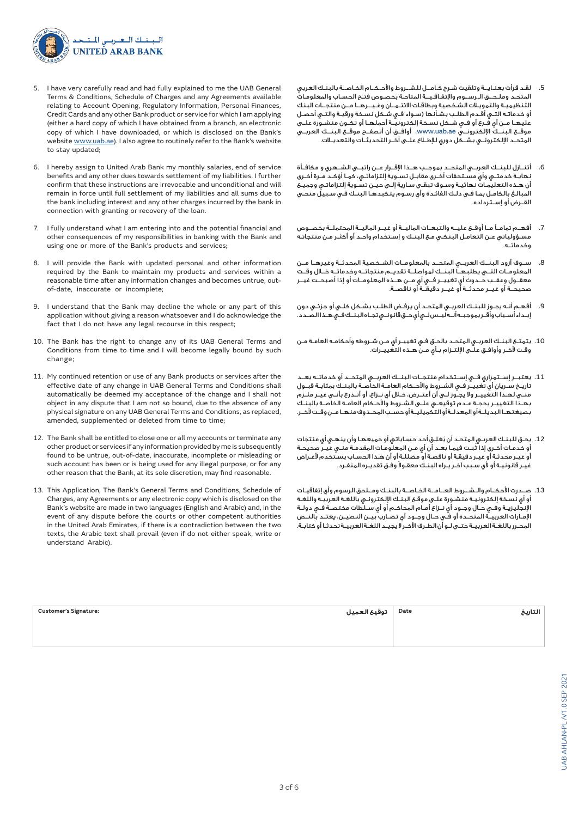

- 5. I have very carefully read and had fully explained to me the UAB General Terms & Conditions, Schedule of Charges and any Agreements available relating to Account Opening, Regulatory Information, Personal Finances, Credit Cards and any other Bank product or service for which I am applying (either a hard copy of which I have obtained from a branch, an electronic copy of which I have downloaded, or which is disclosed on the Bank's website www.uab.ae). I also agree to routinely refer to the Bank's website to stay updated;
- 6. I hereby assign to United Arab Bank my monthly salaries, end of service benefits and any other dues towards settlement of my liabilities. I further confirm that these instructions are irrevocable and unconditional and will remain in force until full settlement of my liabilities and all sums due to the bank including interest and any other charges incurred by the bank in connection with granting or recovery of the loan.
- 7. I fully understand what I am entering into and the potential financial and other consequences of my responsibilities in banking with the Bank and using one or more of the Bank's products and services;
- 8. I will provide the Bank with updated personal and other information required by the Bank to maintain my products and services within a reasonable time after any information changes and becomes untrue, outof-date, inaccurate or incomplete;
- 9. I understand that the Bank may decline the whole or any part of this application without giving a reason whatsoever and I do acknowledge the fact that I do not have any legal recourse in this respect;
- 10. The Bank has the right to change any of its UAB General Terms and Conditions from time to time and I will become legally bound by such change;
- 11. My continued retention or use of any Bank products or services after the effective date of any change in UAB General Terms and Conditions shall automatically be deemed my acceptance of the change and I shall not object in any dispute that I am not so bound, due to the absence of any physical signature on any UAB General Terms and Conditions, as replaced, amended, supplemented or deleted from time to time;
- 12. The Bank shall be entitled to close one or all my accounts or terminate any other product or services if any information provided by me is subsequently found to be untrue, out-of-date, inaccurate, incomplete or misleading or such account has been or is being used for any illegal purpose, or for any other reason that the Bank, at its sole discretion, may find reasonable.
- 13. This Application, The Bank's General Terms and Conditions, Schedule of Charges, any Agreements or any electronic copy which is disclosed on the Bank's website are made in two languages (English and Arabic) and, in the event of any dispute before the courts or other competent authorities in the United Arab Emirates, if there is a contradiction between the two texts, the Arabic text shall prevail (even if do not either speak, write or understand Arabic).
- .5 لقـد قرأت بعنـايــة وتلقيت شـرح كـامــل للشــروط واألحـكــام الخـاصــة بالبنـك العربي المتحـد وملـحــق الـرســوم واإلتفـاقـيــة المتاحـة بخصـوص فتـح الحسـاب والمعلومـات التنظيميـة والتمويـات الشـخصية وبطاقـات االئتـمــان وغـيــرهــا مــن منتجــات البنك أو خدماتـه التـي أقـدم الطلـب بشـأنها )سـواء فـي شـكل نسـخة ورقيـة والتـي أحصـل عليهــا مــن أي فــرع أو فــي شــكل نســخة إلكترونيــة أحملهــا أو تكــون منشــورة علــى موقــع البنــك اإللكترونــي ae.uab.www، أوافــق أن أتصفــح موقــع البنــك العربــي المتحــد الإلكترونــى بشــكل دورى للإطــلاع علــى آخــر التحديثــات والتعديــلات.
- .6 أتنــازل للبنــك العربــي المتحــد بموجــب هــذا اإلقــرار عــن راتبــي الشــهري و مكافــأة نهايـة خدمتـي وأي مسـتحقات أخـرى مقابـل تسـوية إلتزاماتـي، كمـا أؤكـد مـرة أخـرى أن هـذه التعليمـات نهائيـة وسـوف تبقـى سـارية إلـى حيـن تسـوية إلتزاماتـي وجميـع المبالـغ بالكامـل بمـا فـي ذلـك الفائـدة وأي رسـوم يتكبدهـا البنـك فـي سـبيل منحـي القــرض أو إســترداده.
- .7 أفهــم تمامــً مــا أوقــع عليــه والتبعــات الماليــة أو غيــر الماليــة المحتملــة بخصــوص مسـؤولياتي عـن التعامـل البنكـي مـع البنـك و إسـتخدام واحـد أو أكثـر مـن منتجاتـه وخدماتــه.
- .8 ســوف أزود البنــك العربــي المتحــد بالمعلومــات الشــخصية المحدثــة وغيرهــا مــن المعلومــات التــي يطلبهــا البنــك لمواصلــة تقديــم منتجاتــه وخدماتــه خــال وقــت معقــول وعقــب حــدوث أي تغييــر فــي أي مــن هــذه المعلومــات أو إذا أصبحــت غيــر صحيحــة أو غيــر محدثــة أو غيــر دقيقــة أو ناقصــة.
- .9 أفهـم أنـه يجـوز للبنـك العربـي المتحـد أن يرفـض الطلـب بشـكل كلـي أو جزئـي دون إبــداء أســباب وأقــر بموجبــه أنــه ليــس لــي أي حــق قانـونــي تجــاه البنــك فــي هــذا الصــدد.
- .10 يتمتـع البنـك العربـي المتحـد بالحـق فـي تغييـر أي مـن شـروطه وأحكامـه العامـة مـن وقـت آلخـر وأوافـق علـى اإللتـزام بـأي مـن هـذه التغييـرات.
- .11 يعتبــر إســتمراري فــي إســتخدام منتجــات البنــك العربــي المتحــد أو خدماتــه بعــد تاريــخ ســريان أي تغييــر فــي الشــروط واألحــكام العامــة الخاصــة بالبنــك بمثابــة قبــول منــي لهــذا التغييــر وال يجــوز لــي أن أعتــرض، خــال أي نــزاع، أو أتــذرع بأنــي غيــر ملــزم بهـذا التغييـر بحجـة عـدم توقيعـي علـى الشـروط واألحـكام العامـة الخاصـة بالبنـك بصيغتهــا البديلــة أو المعدلــة أو التكميليــة أو حســب المحــذوف منهــا مــن وقــت آلخــر.
- .12 ُ يحـق للبنـك العربـي المتحـد أن يغلـق أحد حسـاباتي أو جميعهـا وأن ينهـي أي منتجات ُ أو خدمـات أخـرى إذا ثبـت فيمـا بعـد أن أي مـن المعلومـات المقدمـة منـي غيـر صحيحـة أو غيـر محدثـة أو غيـر دقيقـة أو ناقصـة أو مضللـة أو أن هـذا الحسـاب يسـتخدم ألغـراض ً غيـر قانونيـة أو ألي سـبب آخـر يـراه البنـك معقـوال وفـق تقديـره المنفـرد.
- .13 صــدرت األحكــام والـشــروط العــامــة الخـاصــة بالبنـك ومــلحق الرسوم وأي إتفاقيـات أو أي نسـخة إلكترونيـة منشـورة علـى موقـع البنـك اإللكترونـي باللغـة العربيـة واللغـة اإلنجليزيــة وفــي حــال وجــود أي نــزاع أمــام المحاكــم أو أي ســلطات مختصــة فــي دولــة اإلمــارات العربيــة المتحــدة أو فــي حــال وجــود أي تضــارب بيــن النصيــن، يعتــد بالنــص المحـرر باللغـة العربيـة حتـى لـو أن الطـرف اآلخـر ال يجيـد اللغـة العربيـة تحدثـا أو كتابـة.

| <b>Customer's Signature:</b> | Date   توقيع العميل | التاريخ |
|------------------------------|---------------------|---------|
|                              |                     |         |
|                              |                     |         |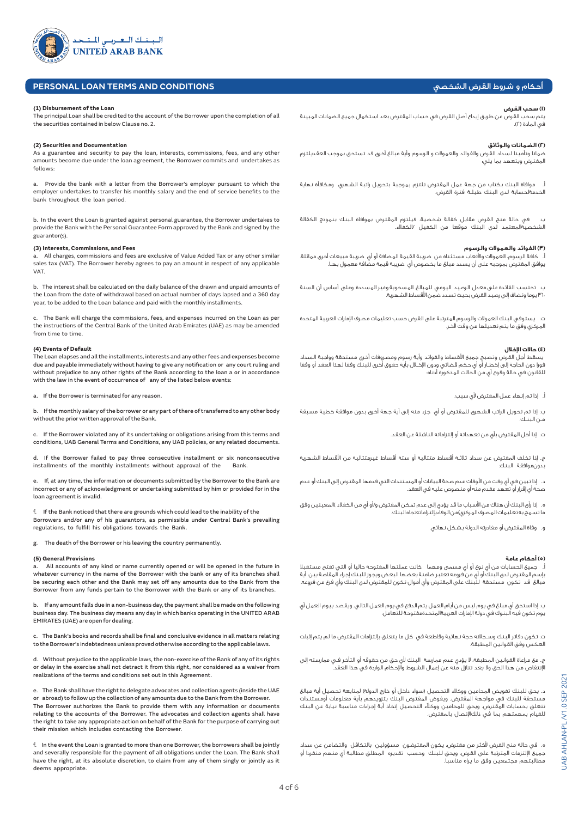

# **PERSONAL LOAN TERMS AND CONDITIONS**

#### **(1) Disbursement of the Loan**

The principal Loan shall be credited to the account of the Borrower upon the completion of all the securities contained in below Clause no. 2.

# **(2) Securities and Documentation**

As a guarantee and security to pay the loan, interests, commissions, fees, and any other amounts become due under the loan agreement, the Borrower commits and undertakes as follows:

a. Provide the bank with a letter from the Borrower's employer pursuant to which the employer undertakes to transfer his monthly salary and the end of service benefits to the bank throughout the loan period.

b. In the event the Loan is granted against personal guarantee, the Borrower undertakes to provide the Bank with the Personal Guarantee Form approved by the Bank and signed by the guarantor(s).

## **(3) Interests, Commissions, and Fees**

All charges, commissions and fees are exclusive of Value Added Tax or any other similar sales tax (VAT). The Borrower hereby agrees to pay an amount in respect of any applicable VAT.

b. The interest shall be calculated on the daily balance of the drawn and unpaid amounts of the Loan from the date of withdrawal based on actual number of days lapsed and a 360 day year, to be added to the Loan balance and paid with the monthly installments.

c. The Bank will charge the commissions, fees, and expenses incurred on the Loan as per the instructions of the Central Bank of the United Arab Emirates (UAE) as may be amended from time to time.

### **(4) Events of Default**

The Loan elapses and all the installments, interests and any other fees and expenses become due and payable immediately without having to give any notification or any court ruling and without prejudice to any other rights of the Bank according to the loan a or in accordance with the law in the event of occurrence of any of the listed below events:

a. If the Borrower is terminated for any reason.

b. If the monthly salary of the borrower or any part of there of transferred to any other body without the prior written approval of the Bank.

c. If the Borrower violated any of its undertaking or obligations arising from this terms and conditions, UAB General Terms and Conditions, any UAB policies, or any related documents.

d. If the Borrower failed to pay three consecutive installment or six nonconsecutive installments of the monthly installments without approval of the Bank.

e. If, at any time, the information or documents submitted by the Borrower to the Bank are incorrect or any of acknowledgment or undertaking submitted by him or provided for in the loan agreement is invalid.

f. If the Bank noticed that there are grounds which could lead to the inability of the Borrowers and/or any of his guarantors, as permissible under Central Bank's prevailing regulations, to fulfill his obligations towards the Bank.

g. The death of the Borrower or his leaving the country permanently.

#### **(5) General Provisions**

All accounts of any kind or name currently opened or will be opened in the future in whatever currency in the name of the Borrower with the bank or any of its branches shall be securing each other and the Bank may set off any amounts due to the Bank from the Borrower from any funds pertain to the Borrower with the Bank or any of its branches.

b. If any amount falls due in a non-business day, the payment shall be made on the following business day. The business day means any day in which banks operating in the UNITED ARAB EMIRATES (UAE) are open for dealing.

c. The Bank's books and records shall be final and conclusive evidence in all matters relating to the Borrower's indebtedness unless proved otherwise according to the applicable laws.

d. Without prejudice to the applicable laws, the non-exercise of the Bank of any of its rights or delay in the exercise shall not detract it from this right, nor considered as a waiver from realizations of the terms and conditions set out in this Agreement.

e. The Bank shall have the right to delegate advocates and collection agents (inside the UAE or abroad) to follow up the collection of any amounts due to the Bank from the Borrower. The Borrower authorizes the Bank to provide them with any information or documents relating to the accounts of the Borrower. The advocates and collection agents shall have the right to take any appropriate action on behalf of the Bank for the purpose of carrying out their mission which includes contacting the Borrower.

f. In the event the Loan is granted to more than one Borrower, the borrowers shall be jointly and severally responsible for the payment of all obligations under the Loan. The Bank shall have the right, at its absolute discretion, to claim from any of them singly or jointly as it deems appropriate.

# أحكام و شروط القرض الشخصي

### **)١( سحب القرض**

يتم سحب القرض عن طريق إيداع أصل القرض في حساب المقترض بعد استكمال جميع الضمانات المبينة .<br>في المادة (٢).

# **)٢( الضمانات والوثائق**

ضمانا وتأمينا لسداد القرض والفوائد والعمولات و الرسوم وأية مبالغ أخرى قد تستحق بموجب العقديلتزم المفترض ويتعهد بما يلي:

أ. موافاة البنك بكتاب من جهة عمل المقترض تلتزم بموجبة بتحويل راتبة الشهري ومكافأة نهاية الخدمةلحسابة لدى البنك طيلــة فترة القرض.

ب. في حالة منح القرض مقابل كفالة شخصية، فيلتزم المقترض بموافاة البنك بنموذج الكفالة الشخصيةالمعتمد لدى البنك موقعا من الكفيل /الكفلاء.

# **)٣( الفوائد والعموالت والرسوم**

أ. كافة الرسوم، العمولات والأتعاب مستثناة من ضريبة القيمة المضافة أو أي ضريبة مبيعات أخرى مماثلة. يوافق المقترض بموجبه على أن يسدد مبلغ ما بخصوص أي ضريبة قيمة مضافة معمول بهــا.

ب. تحتسب الفائدة على معدل الرصيد اليومي للمبالغ المسحوبة وغير المسددة وعلى أساس أن السنة 360 يوما وتضاف إلى رصيد القرض بحيث تسدد ضمن الأقساط الشهرية.

ت. يستوفي البنك العمولات والرسوم المترتبة على القرض حسب تعليمات مصرف الإمارات العربية المتحدة المركزي وفق ما يتم تعديلها من وقت آلخـر.

### **)4( حالات الإخلال**

 يسقط أجل القرض وتصبح جميع األقساط والفوائد وأية رسوم ومصروفات أخرى مستحقة وواجبة السداد فورا دون الحاجة إلى إخطــار أو أي حكم قضائي ودون اإلخــال بأية حقوق أخرى للبنك وفقا لهذا العقد أو وفقا للقانون في حالة وقوع أي من الحالات المذكورة أدناه:

أ. إذا تم إنهاء عمل المقترض ألي سبب.

ب. إذا تم تحويل الراتب الشهرى للمقترض أو أي جزء منه إلى أية جهة أخرى بدون موافقة خطية مسبقة مــن البنــك.

ت. إذا أخل المقترض بأي من تعهداته أو إلتزاماته الناشئة عن العقد.

ج. إذا تخلف المقترض عن سداد ثالثــة أقساط متتالية أو ستة أقساط غيرمتتالية من الأقساط الشهرية بدونموافقة البنك.

د. إذا تبين في أي وقت من األوقات عدم صحة البيانات أو المستندات التي قدمها المقترض إلى البنك أو عدم صحة أي إقرار أو تعهد مقدم منه أو منصوص عليه في العقد.

ه. إذا رأى البنك أن هناك من الأسباب ما قد يؤدي إلى عدم تمكن المقترض و/أو أي من الكفلاء )المعينين وفق .<br>ما تسمح به تعليمات المصرف المركزي)من الوفاءبإلتزاماتهتجاه البنك.

و. وفاة المقترض أو مغادرته الدولة بشكل نهائي.

### **)٥( أحكام عامة**

أ. جميع الحسابات من أي نوع أو أي مسمى ومهما كانت عملتها المفتوحة حاليا أو التي تفتح مستقبلا بإسم المقترض لدى البنك أو أي من فروعه تعتبر ضامنة بعضها البعض ويجوز للبنك إجراء المقاصة بين أية مبالغ قد تكون مستحقة للبنك على المقترض وأي أموال تكون للمقترض لدى البنك وأي فرع من فروعه.

ب. إذا استحق أي مبلغ في يوم ليس من أيام العمل يتم الدفع في يوم العمل التالي. ويقصد بيوم العمل أي يوم تكون فيه البنوك في دولة الإمارات العربيةالمتحدةمفتوحة للتعامل.

ت. تكون دفاتر البنك وســجالته حجة نهائية وقاطعة في كل ما يتعلق بإلتزامات المقترض ما لم يتم إثبات العكس وفق القوانين المطبقة.

ج. مع مراعاة القوانين المطبقة، لا يؤدي عدم ممارسة البنك لأي حق من حقوقه أو التأخر فــي ممارسته إلى الإنتقاص من هذا الحق ولا يعد تنازل منه عن إعمال الشروط والإحكام الواردة في هذا العقد.

د. يحق للبنك تفويض المحامين ووكالء التحصيل (سواء داخل أو خارج الدولة) لمتابعة تحصيل أية مبالغ مستحقة للبنك في مواجهة المقترض. ويفوض المقترض البنك بتزويدهم بأية معلومات أومستندات تتعلق بحسابات المقترض. ويحق للمحامين ووكآلء التحصيل إتخاذ أية إجراءات مناسبة نيابة عن البنك للقيام بمهمتهم بما في ذلكالإتصال بالمقترض.

ه. في حالة منح القرض لأكثر من مقترض، يكون المقترضون مسؤولين بالتكافل والتضامن عن سداد جميع الإلتزمات المترتبة على القرض، ويحق للبنك وحسب تقديره المطلق مطالبة أي منهم منفردا أو مطالبتهم مجتمعين وفق ما يراه مناسبا.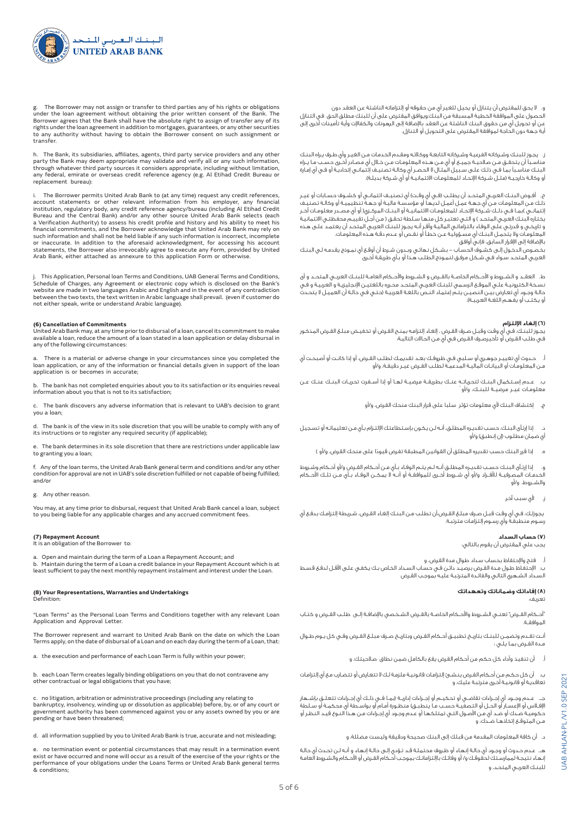

و. لا يحق للمقترض أن يتنازل أو يحيل للغير أي من حقوقه أو إلتزاماته الناشئة عن العقد دون الحصول على الموافقة الخطية المسبقة من البنك.ويوافق المقترض على أن للبنك مطلق الحق في التنازل عن أو تحويل أي من حقوق البنك الناشئة عن العقد بالإضافة إلى الرهونات والكفالإت وأية تأمينات أخرى إلى أية جهة دون الحاجة لموافقة المقترض على التحويل أو التنازل.

ز. يجـوز للبنـك وشـركاته الفرعيـة وشـركاته التابعـة ووكالئـه ومقـدم الخدمـات مـن الغيـر وأي طـرف يـراه البنـك مناســبًا أن يتحقــق مــن صالحيــة جميــع أو أي مــن هــذه المعلومــات مــن خــال أي مصــادر أخــرى حســب مــا يــراه البنـك مناسـبًا بمـا فـي ذلـك علـى سـبيل المثـال ال الحصـر أي وكالـة تصنيـف إئتمانـي إتحاديـة أو فـي أي إمـارة و وكالـة خارجيـة (مثـل شـركة الإتحـاد للمعلومـات الائتمانيـة او اي شـركة بديلـة).

ح. أفــوض البنــك العربــي المتحــد أن يطلــب (فــي أي وقــت) أي تصنيــف ائتمانــي أو كشــوف حســابات أو غيــر ذلـك مـن المعلومـات مـن أي جهـة عمـل أعمـل لديهـا أو مؤسسـة ماليـة أو جهـة تنظيميـة أو وكالـة تصنيـف إئتمانــي )بمـا فــي ذلــك شــركة الإتحــاد للمعلومـات الائتمانيــة أو البنــك المركــزي( أو أي مصــدر معلومـات آخـر يختــره البنـك العربـي<br>يختـاره البنـك العربـي المتحـد ) و التـي تعتبـر كل منهـا سـلطة تحقـق ( مـن أجـل تقييـم محفظتـي الائتمانيـة و تاريخـي و قدرتـي علـى الوفـاء بالتزاماتـي الماليـة وأقـر أنـه يجـوز للبنـك العربـي المتحـد أن يعتمـد علـى هـذه المعلومـات وال يتحمـل البنـك أي مسـؤولية عـن خطـأ أو نقـص أو عـدم دقـة هـذه المعلومـات. باإلضافة إلى اإلقرار السابق، فإني أوافق

بخصـوص الدخـول إلـى كشـوف الحسـاب - بشـكل نهائـي وبـدون شـرط أن أوقـع أي نمـوذج يقدمـه لـي البنـك العربـي المتحـد سـواء فـي شـكل مرفـق لنمـوذج الطلـب هـذا أو بـأي طريقـة أخـرى

ط. العقــد و الشــروط و األحــكام الخاصــة بالقــرض و الشــروط واألحــكام العامــة للبنــك العربــي المتحــد و أى نسـخة الكترونيـة علـي الموقـع الرسـمي للبنـك العربـي المتحـد محـرره باللغتيـن اإلنجليزيـة و العربيـة و فـي حالـة وجـود أي تعـارض بيـن النصيـن يتـم إعتمـاد النـص باللغـة العربيـة )حتـي فـي حالـة أن العميـل ال يتحـدث و يكتـب أو يفهـم اللغـة العربيـة).

# **)6( إلغاء اإللتزام**

يجـوز للبنـك، فـي أي وقـت وقبـل صـرف القـرض ، إلغـاء إلتزامـه بمنـح القـرض أو تخفيـض مبلـغ القـرض المذكـور فـي طلـب القـرض أو تأخيرصـرف القـرض فـي أي مـن الحـاالت التاليـة:

أ. حـدوث أي تغييـر جوهـري أو سـلبي فـي ظروفـك بعـد تقديمـك لطلـب القـرض، أو إذا كانـت أو أصبحـت أي مـن المعلومـات أو البيانـات الماليـة المدعمـة لطلـب القـرض غيـر دقيقـة، و/أو

ب. عــدم إســتكمال البنــك لتحرياتــه عنــك بطريقــة مرضيــة لهــا أو إذا أســفرت تحريــات البنــك عنــك عــن معلومــات غيــر مرضيــة للبنــك، و/أو ً

ج. إكتشاف البنك ألي معلومات تؤثر سلبا على قرار البنك منحك القرض، و/أو

د. إذا إرتـآى البنـك، حسـب تقديـره المطلـق، أنـه لـن يكـون بإسـتطاعتك اإللتـزام بـأي مـن تعليماتـه أو تسـجيل .<br>أي ضمـان مطلـوب (إن إنطبق) و/أو

إذا قرر البنك حسب تقديره المطلق أن القوانين المطبقة تفرض قيودًا على منحك القرض، و/أو )

و. إذا إرتـآى البنـك حسـب تقديـره المطلـق أنـه لـم يتـم الوفـاء بـأي مـن أحـكام القـرض و/أو أحـكام وشـروط الخدمــات المصرفيــة لألفــراد و/أو أي شــروط أخــرى للموافقــة أو أنــه ال يمكــن الوفــاء بــأي مــن تلــك األحــكام والشــروط، و/أو

لأى سبب آخر.

يجوزلـك، فـي أي وقـت قبـل صـرف مبلـغ القـرض،أن تطلـب مـن البنـك إلغـاء القـرض، شـريطة إلتزامـك بدفـع أي رسـوم منطبقـة وأي رسـوم إلتزامـات مترتبـة.

## **)7( حساب السداد**

يجب علي المقترض أن يقوم بالتالي:

أ. فتح واإلحتفاظ بحساب سداد طوال مدة القرض، و

ب. اإلحتفـاظ طـول مـدة القـرض برصيـد دائـن فـي حسـاب السـداد الخـاص بـك يكفـي علـى األقـل لدفـع قسـط السـداد الشـهري التالـي والفائـدة المترتبـة عليـه بموجـب القـرض

### **)8( إفاداتك وضماناتك وتعهداتك**

تعريف:

UAB AHLAN-PL /V1.0 SEP 2021

AHLAN-PL/V1.0 SEP

JAB.

2021

"أحــكام القــرض" تعنــي الشــروط واألحــكام الخاصــة بالقــرض الشــخصي باإلضافــة إلــى طلــب القــرض و كتــاب الموافقــة.

أنـت تقـدم وتضمـن للبنـك بتاريـخ تطبيـق أحـكام القـرض وبتاريـخ صـرف مبلـغ القـرض وفـي كل يـوم طـوال مـدة القـرض بمـا يلـي :

أ. أن تنفيذ وأداء كل حكم من أحكام القرض يقع بالكامل ضمن نطاق صالحيتك، و

ب. أن كل حكـم مـن أحـكام القـرض ينشـئ إلتزامـات قانونيـة ملزمـة لـك ال تتعـارض أو تتضـارب مـع أي إلتزامـات تعاقديـة أو قانونيـة أخـرى مترتبـة عليك، و

جــ. عــدم وجــود أي إجــراءات تقاضــي أو تحكيــم أو إجــراءات إداريــة )بمــا فــي ذلــك أي إجــراءات تتعلــق بإشــهار اإلفــاس أو اإلعســار أو الحــل أو التصفيــة حســب مــا ينطبــق( منظــورة أمــام أو بواســطة أي محكمــة أو ســلطة حكوميـة ضـدك أو ضـد أي مـن األصـول التـي تمتلكهـا أو عـدم وجـود أي إجـراءات مـن هـذا النـوع قيـد النظـر أو مــن المتوقــع إتخاذهــا ضــدك، و

د. أن كافة المعلومات المقدمة من قبلك إلى البنك صحيحة ودقيقة وليست مضللة، و

هــ. عـدم حـدوث أو وجـود أي حالـة إنهـاء أو ظـروف محتملـة قـد تـؤدي إلـى حالـة إنهـاء و أنـه لـن تحـدث أي حالـة إنهـاء نتيجـة لممارسـتك لحقوقـك و/ أو وفائـك باإلتزاماتـك بموجـب أحـكام القـرض أو األحـكام والشـروط العامـة للبنـك العربـي المتحـد، و

g. The Borrower may not assign or transfer to third parties any of his rights or obligations<br>under the loan agreement without obtaining the prior written consent of the Bank. The<br>Borrower agrees that the Bank shall have rights under the loan agreement in addition to mortgages, guarantees, or any other securities to any authority without having to obtain the Borrower consent on such assignment or transfer.

h. The Bank, its subsidiaries, affiliates, agents, third party service providers and any other party the Bank may deem appropriate may validate and verify all or any such information,<br>through whatever third party sources it considers appropriate, including without limitation,<br>any federal, emirate or overseas credit replacement bureau):

i. The Borrower permits United Arab Bank to (at any time) request any credit references account statements or other relevant information from his employer, any financial<br>institution,regulatory body, any credit reference agency/bureau (including Al Etihad Credit<br>Bureau and the Central Bank) and/or any other so a Verification Authority) to assess his credit profile and history and his ability to meet his financial commitments, and the Borrower acknowledge that United Arab Bank may rely on such information and shall not be held liable if any such information is incorrect, incomplete or inaccurate. In addition to the aforesaid acknowledgment, for accessing his account statements, the Borrower also irrevocably agree to execute any Form, provided by United Arab Bank, either attached as annexure to this application Form or otherwise.

j. This Application, Personal loan Terms and Conditions, UAB General Terms and Conditions, Schedule of Charges, any Agreement or electronic copy which is disclosed on the Bank's website are made in two languages Arabic and English and in the event of any contradiction between the two texts, the text written in Arabic language shall prevail. (even if customer do not either speak, write or understand Arabic language).

### **(6) Cancellation of Commitments**

United Arab Bank may, at any time prior to disbursal of a loan, cancel its commitment to make available a loan, reduce the amount of a loan stated in a loan application or delay disbursal in any of the following circumstances:

There is a material or adverse change in your circumstances since you completed the loan application, or any of the information or financial details given in support of the loan application is or becomes in accurate;

. The bank has not completed enquiries about you to its satisfaction or its enquiries reveal information about you that is not to its satisfaction;

The bank discovers any adverse information that is relevant to UAB's decision to grant you a loan;

d. The bank is of the view in its sole discretion that you will be unable to comply with any of its instructions or to register any required security (if applicable);

The bank determines in its sole discretion that there are restrictions under applicable law to granting you a loan;

f. Any of the loan terms, the United Arab Bank general term and conditions and/or any other condition for approval are not in UAB's sole discretion fulfilled or not capable of being fulfilled; and/or

### g. Any other reason.

You may, at any time prior to disbursal, request that United Arab Bank cancel a loan, subject to you being liable for any applicable charges and any accrued commitment fees.

#### **(7) Repayment Account**

It is an obligation of the Borrower to:

a. Open and maintain during the term of a Loan a Repayment Account; and b. Maintain during the term of a Loan a credit balance in your Repayment Account which is at least sufficient to pay the next monthly repayment instalment and interest under the Loan.

#### **(8) Your Representations, Warranties and Undertakings** Definition:

"Loan Terms" as the Personal Loan Terms and Conditions together with any relevant Loan Application and Approval Letter.

The Borrower represent and warrant to United Arab Bank on the date on which the Loan Terms apply, on the date of disbursal of a Loan and on each day during the term of a Loan, that:

a. the execution and performance of each Loan Term is fully within your power;

b. each Loan Term creates legally binding obligations on you that do not contravene any other contractual or legal obligations that you have;

c. no litigation, arbitration or administrative proceedings (including any relating to bankruptcy, insolvency, winding up or dissolution as applicable) before, by, or of any court or government authority has been commenced against you or any assets owned by you or are pending or have been threatened;

d. all information supplied by you to United Arab Bank is true, accurate and not misleading;

e. no termination event or potential circumstances that may result in a termination event exist or have occurred and none will occur as a result of the exercise of the your rights or the performance of your obligations under the Loans Terms or United Arab Bank general terms & conditions;